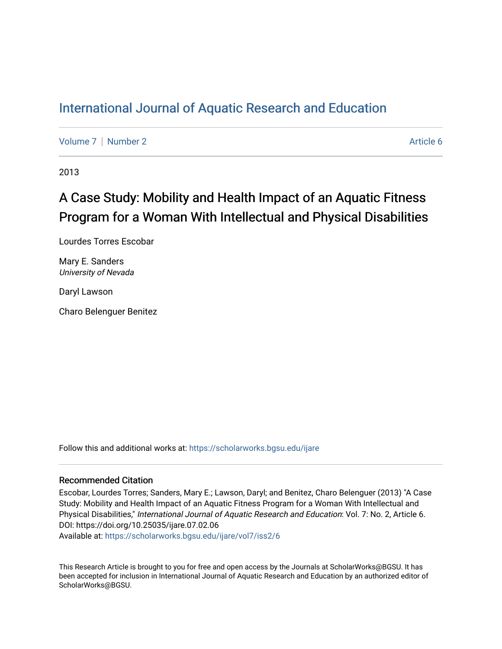# [International Journal of Aquatic Research and Education](https://scholarworks.bgsu.edu/ijare)

[Volume 7](https://scholarworks.bgsu.edu/ijare/vol7) | [Number 2](https://scholarworks.bgsu.edu/ijare/vol7/iss2) Article 6

2013

# A Case Study: Mobility and Health Impact of an Aquatic Fitness Program for a Woman With Intellectual and Physical Disabilities

Lourdes Torres Escobar

Mary E. Sanders University of Nevada

Daryl Lawson

Charo Belenguer Benitez

Follow this and additional works at: [https://scholarworks.bgsu.edu/ijare](https://scholarworks.bgsu.edu/ijare?utm_source=scholarworks.bgsu.edu%2Fijare%2Fvol7%2Fiss2%2F6&utm_medium=PDF&utm_campaign=PDFCoverPages) 

#### Recommended Citation

Escobar, Lourdes Torres; Sanders, Mary E.; Lawson, Daryl; and Benitez, Charo Belenguer (2013) "A Case Study: Mobility and Health Impact of an Aquatic Fitness Program for a Woman With Intellectual and Physical Disabilities," International Journal of Aquatic Research and Education: Vol. 7: No. 2, Article 6. DOI: https://doi.org/10.25035/ijare.07.02.06

Available at: [https://scholarworks.bgsu.edu/ijare/vol7/iss2/6](https://scholarworks.bgsu.edu/ijare/vol7/iss2/6?utm_source=scholarworks.bgsu.edu%2Fijare%2Fvol7%2Fiss2%2F6&utm_medium=PDF&utm_campaign=PDFCoverPages) 

This Research Article is brought to you for free and open access by the Journals at ScholarWorks@BGSU. It has been accepted for inclusion in International Journal of Aquatic Research and Education by an authorized editor of ScholarWorks@BGSU.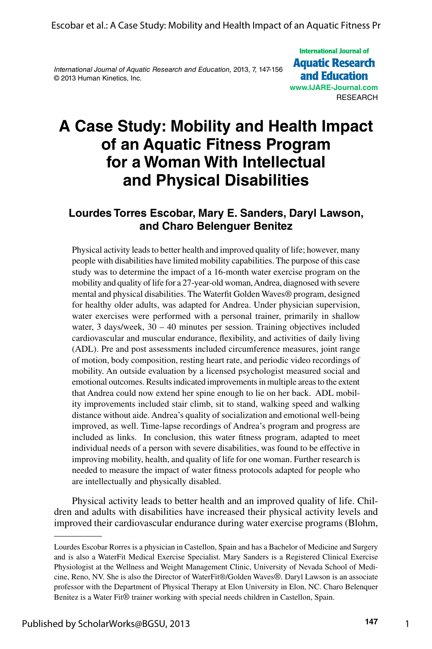*International Journal of Aquatic Research and Education,* 2013, 7, 147-156 © 2013 Human Kinetics, Inc.

**International Journal of Aquatic Research** and Education **[www.IJARE-Journal.com](http://www.IJARE-Journal.com) RESEARCH** 

# **A Case Study: Mobility and Health Impact of an Aquatic Fitness Program for a Woman With Intellectual and Physical Disabilities**

#### **Lourdes Torres Escobar, Mary E. Sanders, Daryl Lawson, and Charo Belenguer Benitez**

Physical activity leads to better health and improved quality of life; however, many people with disabilities have limited mobility capabilities. The purpose of this case study was to determine the impact of a 16-month water exercise program on the mobility and quality of life for a 27-year-old woman, Andrea, diagnosed with severe mental and physical disabilities. The Waterfit Golden Waves® program, designed for healthy older adults, was adapted for Andrea. Under physician supervision, water exercises were performed with a personal trainer, primarily in shallow water, 3 days/week, 30 – 40 minutes per session. Training objectives included cardiovascular and muscular endurance, flexibility, and activities of daily living (ADL). Pre and post assessments included circumference measures, joint range of motion, body composition, resting heart rate, and periodic video recordings of mobility. An outside evaluation by a licensed psychologist measured social and emotional outcomes. Results indicated improvements in multiple areas to the extent that Andrea could now extend her spine enough to lie on her back. ADL mobility improvements included stair climb, sit to stand, walking speed and walking distance without aide. Andrea's quality of socialization and emotional well-being improved, as well. Time-lapse recordings of Andrea's program and progress are included as links. In conclusion, this water fitness program, adapted to meet individual needs of a person with severe disabilities, was found to be effective in improving mobility, health, and quality of life for one woman. Further research is needed to measure the impact of water fitness protocols adapted for people who are intellectually and physically disabled.

Physical activity leads to better health and an improved quality of life. Children and adults with disabilities have increased their physical activity levels and improved their cardiovascular endurance during water exercise programs (Blohm,

1

Lourdes Escobar Rorres is a physician in Castellon, Spain and has a Bachelor of Medicine and Surgery and is also a WaterFit Medical Exercise Specialist. Mary Sanders is a Registered Clinical Exercise Physiologist at the Wellness and Weight Management Clinic, University of Nevada School of Medicine, Reno, NV. She is also the Director of WaterFit®/Golden Waves*®*. Daryl Lawson is an associate professor with the Department of Physical Therapy at Elon University in Elon, NC. Charo Belenquer Benitez is a Water Fit*®* trainer working with special needs children in Castellon, Spain.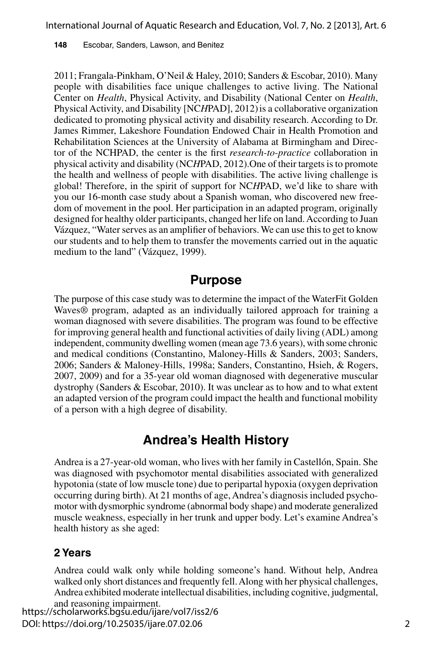**148** Escobar, Sanders, Lawson, and Benitez

2011; Frangala-Pinkham, O'Neil & Haley, 2010; Sanders & Escobar, 2010). Many people with disabilities face unique challenges to active living. The National Center on *Health*, Physical Activity, and Disability (National Center on *Health*, Physical Activity, and Disability [NCHPAD], 2012) is a collaborative organization dedicated to promoting physical activity and disability research. According to Dr. James Rimmer, Lakeshore Foundation Endowed Chair in Health Promotion and Rehabilitation Sciences at the University of Alabama at Birmingham and Director of the NCHPAD, the center is the first *research-to-practice* collaboration in physical activity and disability (NC*H*PAD, 2012).One of their targets is to promote the health and wellness of people with disabilities. The active living challenge is global! Therefore, in the spirit of support for NC*H*PAD, we'd like to share with you our 16-month case study about a Spanish woman, who discovered new freedom of movement in the pool. Her participation in an adapted program, originally designed for healthy older participants, changed her life on land. According to Juan Vázquez, "Water serves as an amplifier of behaviors. We can use this to get to know our students and to help them to transfer the movements carried out in the aquatic medium to the land" (Vázquez, 1999).

#### **Purpose**

The purpose of this case study was to determine the impact of the WaterFit Golden Waves® program, adapted as an individually tailored approach for training a woman diagnosed with severe disabilities. The program was found to be effective for improving general health and functional activities of daily living (ADL) among independent, community dwelling women (mean age 73.6 years), with some chronic and medical conditions (Constantino, Maloney-Hills & Sanders, 2003; Sanders, 2006; Sanders & Maloney-Hills, 1998a; Sanders, Constantino, Hsieh, & Rogers, 2007, 2009) and for a 35-year old woman diagnosed with degenerative muscular dystrophy (Sanders & Escobar, 2010). It was unclear as to how and to what extent an adapted version of the program could impact the health and functional mobility of a person with a high degree of disability.

## **Andrea's Health History**

Andrea is a 27-year-old woman, who lives with her family in Castellón, Spain. She was diagnosed with psychomotor mental disabilities associated with generalized hypotonia (state of low muscle tone) due to peripartal hypoxia (oxygen deprivation occurring during birth). At 21 months of age, Andrea's diagnosis included psychomotor with dysmorphic syndrome (abnormal body shape) and moderate generalized muscle weakness, especially in her trunk and upper body. Let's examine Andrea's health history as she aged:

#### **2 Years**

Andrea could walk only while holding someone's hand. Without help, Andrea walked only short distances and frequently fell. Along with her physical challenges, Andrea exhibited moderate intellectual disabilities, including cognitive, judgmental,

and reasoning impairment. https://scholarworks.bgsu.edu/ijare/vol7/iss2/6 DOI: https://doi.org/10.25035/ijare.07.02.06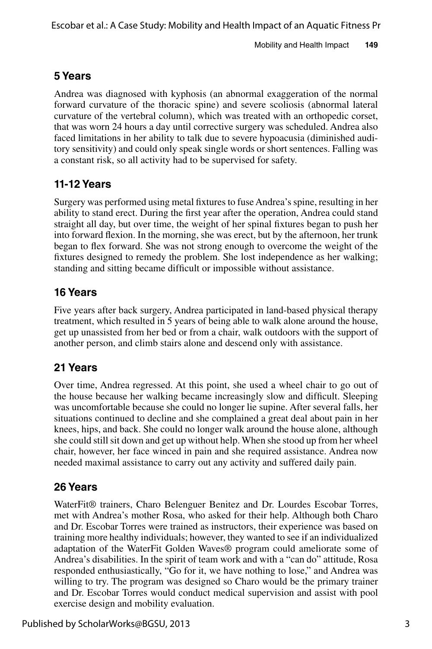## **5 Years**

Andrea was diagnosed with kyphosis (an abnormal exaggeration of the normal forward curvature of the thoracic spine) and severe scoliosis (abnormal lateral curvature of the vertebral column), which was treated with an orthopedic corset, that was worn 24 hours a day until corrective surgery was scheduled. Andrea also faced limitations in her ability to talk due to severe hypoacusia (diminished auditory sensitivity) and could only speak single words or short sentences. Falling was a constant risk, so all activity had to be supervised for safety.

#### **11-12 Years**

Surgery was performed using metal fixtures to fuse Andrea's spine, resulting in her ability to stand erect. During the first year after the operation, Andrea could stand straight all day, but over time, the weight of her spinal fixtures began to push her into forward flexion. In the morning, she was erect, but by the afternoon, her trunk began to flex forward. She was not strong enough to overcome the weight of the fixtures designed to remedy the problem. She lost independence as her walking; standing and sitting became difficult or impossible without assistance.

#### **16 Years**

Five years after back surgery, Andrea participated in land-based physical therapy treatment, which resulted in 5 years of being able to walk alone around the house, get up unassisted from her bed or from a chair, walk outdoors with the support of another person, and climb stairs alone and descend only with assistance.

#### **21 Years**

Over time, Andrea regressed. At this point, she used a wheel chair to go out of the house because her walking became increasingly slow and difficult. Sleeping was uncomfortable because she could no longer lie supine. After several falls, her situations continued to decline and she complained a great deal about pain in her knees, hips, and back. She could no longer walk around the house alone, although she could still sit down and get up without help. When she stood up from her wheel chair, however, her face winced in pain and she required assistance. Andrea now needed maximal assistance to carry out any activity and suffered daily pain.

## **26 Years**

WaterFit® trainers, Charo Belenguer Benitez and Dr. Lourdes Escobar Torres, met with Andrea's mother Rosa, who asked for their help. Although both Charo and Dr. Escobar Torres were trained as instructors, their experience was based on training more healthy individuals; however, they wanted to see if an individualized adaptation of the WaterFit Golden Waves® program could ameliorate some of Andrea's disabilities. In the spirit of team work and with a "can do" attitude, Rosa responded enthusiastically, "Go for it, we have nothing to lose," and Andrea was willing to try. The program was designed so Charo would be the primary trainer and Dr. Escobar Torres would conduct medical supervision and assist with pool exercise design and mobility evaluation.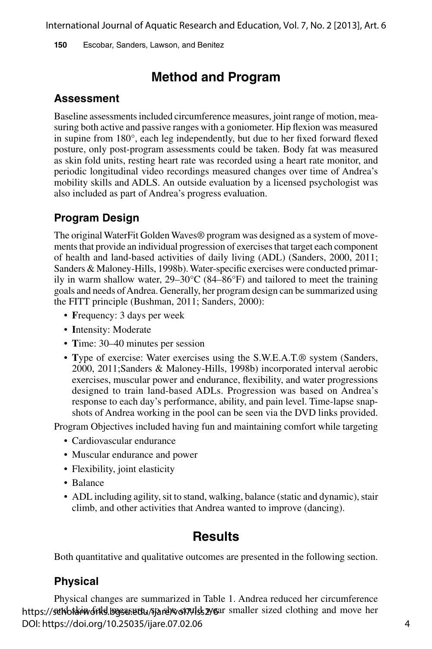**150** Escobar, Sanders, Lawson, and Benitez

# **Method and Program**

#### **Assessment**

Baseline assessments included circumference measures, joint range of motion, measuring both active and passive ranges with a goniometer. Hip flexion was measured in supine from 180°, each leg independently, but due to her fixed forward flexed posture, only post-program assessments could be taken. Body fat was measured as skin fold units, resting heart rate was recorded using a heart rate monitor, and periodic longitudinal video recordings measured changes over time of Andrea's mobility skills and ADLS. An outside evaluation by a licensed psychologist was also included as part of Andrea's progress evaluation.

#### **Program Design**

The original WaterFit Golden Waves® program was designed as a system of movements that provide an individual progression of exercises that target each component of health and land-based activities of daily living (ADL) (Sanders, 2000, 2011; Sanders & Maloney-Hills, 1998b). Water-specific exercises were conducted primarily in warm shallow water, 29–30°C (84–86°F) and tailored to meet the training goals and needs of Andrea. Generally, her program design can be summarized using the FITT principle (Bushman, 2011; Sanders, 2000):

- **F**requency: 3 days per week
- **I**ntensity: Moderate
- **T**ime: 30–40 minutes per session
- **T**ype of exercise: Water exercises using the S.W.E.A.T.® system (Sanders, 2000, 2011;Sanders & Maloney-Hills, 1998b) incorporated interval aerobic exercises, muscular power and endurance, flexibility, and water progressions designed to train land-based ADLs. Progression was based on Andrea's response to each day's performance, ability, and pain level. Time-lapse snapshots of Andrea working in the pool can be seen via the DVD links provided.

Program Objectives included having fun and maintaining comfort while targeting

- Cardiovascular endurance
- Muscular endurance and power
- Flexibility, joint elasticity
- Balance
- ADL including agility, sit to stand, walking, balance (static and dynamic), stair climb, and other activities that Andrea wanted to improve (dancing).

## **Results**

Both quantitative and qualitative outcomes are presented in the following section.

#### **Physical**

Physical changes are summarized in Table 1. Andrea reduced her circumference https://scholarwoorkel.bgsusettu/sjare/wol7/les 2/6ar smaller sized clothing and move her DOI: https://doi.org/10.25035/ijare.07.02.06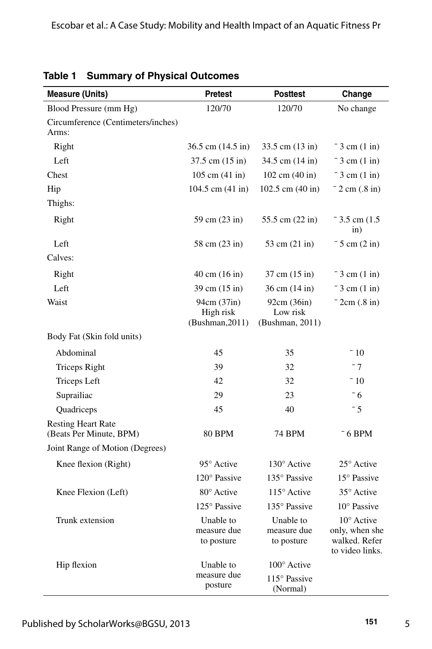| <b>Measure (Units)</b>                               | <b>Pretest</b>                              | <b>Posttest</b>                            | Change                                                                    |
|------------------------------------------------------|---------------------------------------------|--------------------------------------------|---------------------------------------------------------------------------|
| Blood Pressure (mm Hg)                               | 120/70                                      | 120/70                                     | No change                                                                 |
| Circumference (Centimeters/inches)<br>Arms:          |                                             |                                            |                                                                           |
| Right                                                | $36.5$ cm $(14.5 \text{ in})$               | $33.5$ cm $(13 \text{ in})$                | $-3$ cm $(1 \text{ in})$                                                  |
| Left                                                 | 37.5 cm (15 in)                             | 34.5 cm (14 in)                            | $-3$ cm $(1 \text{ in})$                                                  |
| Chest                                                | $105 \text{ cm} (41 \text{ in})$            | 102 cm (40 in)                             | $-3$ cm $(1 \text{ in})$                                                  |
| Hip                                                  | 104.5 cm (41 in)                            | 102.5 cm (40 in)                           | $-2$ cm $(.8 \text{ in})$                                                 |
| Thighs:                                              |                                             |                                            |                                                                           |
| Right                                                | 59 cm (23 in)                               | 55.5 cm $(22 \text{ in})$                  | $-3.5$ cm (1.5)<br>$\sin)$                                                |
| Left                                                 | 58 cm (23 in)                               | 53 cm (21 in)                              | $-5$ cm $(2 \text{ in})$                                                  |
| Calves:                                              |                                             |                                            |                                                                           |
| Right                                                | $40 \text{ cm } (16 \text{ in})$            | 37 cm (15 in)                              | $-3$ cm $(1 \text{ in})$                                                  |
| Left                                                 | 39 cm (15 in)                               | 36 cm (14 in)                              | $-3$ cm $(1 \text{ in})$                                                  |
| Waist                                                | 94cm (37in)<br>High risk<br>(Bushman, 2011) | 92cm (36in)<br>Low risk<br>(Bushman, 2011) | $-2cm(.8 in)$                                                             |
| Body Fat (Skin fold units)                           |                                             |                                            |                                                                           |
| Abdominal                                            | 45                                          | 35                                         | $-10$                                                                     |
| <b>Triceps Right</b>                                 | 39                                          | 32                                         | $-7$                                                                      |
| <b>Triceps Left</b>                                  | 42                                          | 32                                         | $-10$                                                                     |
| Suprailiac                                           | 29                                          | 23                                         | $-6$                                                                      |
| Quadriceps                                           | 45                                          | 40                                         | $-5$                                                                      |
| <b>Resting Heart Rate</b><br>(Beats Per Minute, BPM) | <b>80 BPM</b>                               | 74 BPM                                     | $-6$ BPM                                                                  |
| Joint Range of Motion (Degrees)                      |                                             |                                            |                                                                           |
| Knee flexion (Right)                                 | 95° Active                                  | 130° Active                                | 25° Active                                                                |
|                                                      | 120° Passive                                | 135° Passive                               | 15° Passive                                                               |
| Knee Flexion (Left)                                  | 80° Active                                  | 115° Active                                | 35° Active                                                                |
|                                                      | 125° Passive                                | 135° Passive                               | $10^{\circ}$ Passive                                                      |
| Trunk extension                                      | Unable to<br>measure due<br>to posture      | Unable to<br>measure due<br>to posture     | $10^{\circ}$ Active<br>only, when she<br>walked. Refer<br>to video links. |
| Hip flexion                                          | Unable to                                   | $100^\circ$ Active                         |                                                                           |
|                                                      | measure due<br>posture                      | 115° Passive<br>(Normal)                   |                                                                           |

**Table 1 Summary of Physical Outcomes**

5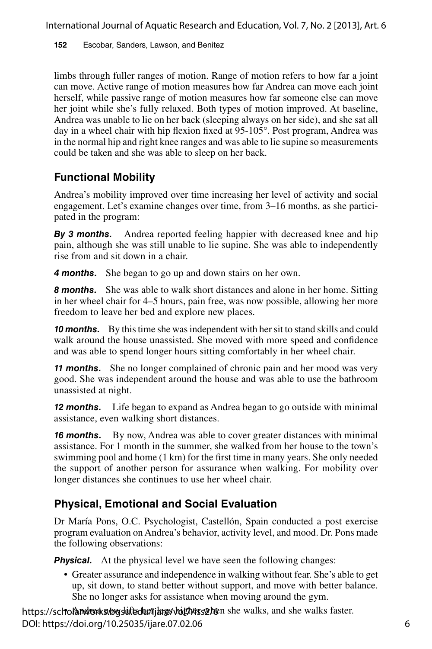**152** Escobar, Sanders, Lawson, and Benitez

limbs through fuller ranges of motion. Range of motion refers to how far a joint can move. Active range of motion measures how far Andrea can move each joint herself, while passive range of motion measures how far someone else can move her joint while she's fully relaxed. Both types of motion improved. At baseline, Andrea was unable to lie on her back (sleeping always on her side), and she sat all day in a wheel chair with hip flexion fixed at 95-105°. Post program, Andrea was in the normal hip and right knee ranges and was able to lie supine so measurements could be taken and she was able to sleep on her back.

## **Functional Mobility**

Andrea's mobility improved over time increasing her level of activity and social engagement. Let's examine changes over time, from 3–16 months, as she participated in the program:

*By 3 months.* Andrea reported feeling happier with decreased knee and hip pain, although she was still unable to lie supine. She was able to independently rise from and sit down in a chair.

*4 months.* She began to go up and down stairs on her own.

**8 months.** She was able to walk short distances and alone in her home. Sitting in her wheel chair for 4–5 hours, pain free, was now possible, allowing her more freedom to leave her bed and explore new places.

**10 months.** By this time she was independent with her sit to stand skills and could walk around the house unassisted. She moved with more speed and confidence and was able to spend longer hours sitting comfortably in her wheel chair.

*11 months.* She no longer complained of chronic pain and her mood was very good. She was independent around the house and was able to use the bathroom unassisted at night.

*12 months.* Life began to expand as Andrea began to go outside with minimal assistance, even walking short distances.

**16 months.** By now, Andrea was able to cover greater distances with minimal assistance. For 1 month in the summer, she walked from her house to the town's swimming pool and home (1 km) for the first time in many years. She only needed the support of another person for assurance when walking. For mobility over longer distances she continues to use her wheel chair.

## **Physical, Emotional and Social Evaluation**

Dr María Pons, O.C. Psychologist, Castellón, Spain conducted a post exercise program evaluation on Andrea's behavior, activity level, and mood. Dr. Pons made the following observations:

**Physical.** At the physical level we have seen the following changes:

• Greater assurance and independence in walking without fear. She's able to get up, sit down, to stand better without support, and move with better balance. She no longer asks for assistance when moving around the gym.

https://scholandrorks.bogsuifteduc/tjargs/bigtherssor/formshe walks, and she walks faster. DOI: https://doi.org/10.25035/ijare.07.02.06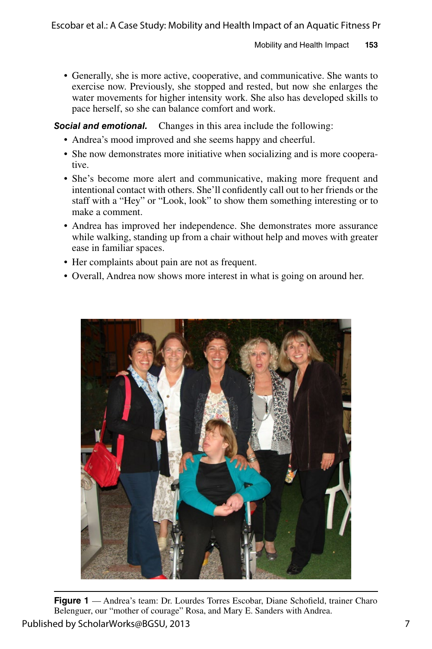• Generally, she is more active, cooperative, and communicative. She wants to exercise now. Previously, she stopped and rested, but now she enlarges the water movements for higher intensity work. She also has developed skills to pace herself, so she can balance comfort and work.

*Social and emotional.* Changes in this area include the following:

- Andrea's mood improved and she seems happy and cheerful.
- She now demonstrates more initiative when socializing and is more cooperative.
- She's become more alert and communicative, making more frequent and intentional contact with others. She'll confidently call out to her friends or the staff with a "Hey" or "Look, look" to show them something interesting or to make a comment.
- Andrea has improved her independence. She demonstrates more assurance while walking, standing up from a chair without help and moves with greater ease in familiar spaces.
- Her complaints about pain are not as frequent.
- Overall, Andrea now shows more interest in what is going on around her.



**Figure 1** — Andrea's team: Dr. Lourdes Torres Escobar, Diane Schofield, trainer Charo Belenguer, our "mother of courage" Rosa, and Mary E. Sanders with Andrea. Published by ScholarWorks@BGSU, 2013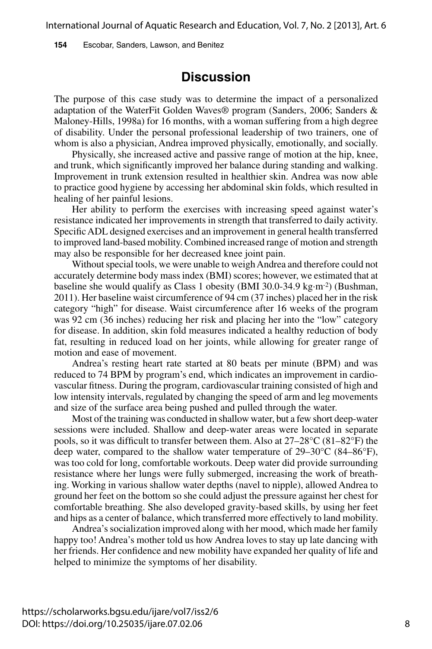**154** Escobar, Sanders, Lawson, and Benitez

#### **Discussion**

The purpose of this case study was to determine the impact of a personalized adaptation of the WaterFit Golden Waves® program (Sanders, 2006; Sanders & Maloney-Hills, 1998a) for 16 months, with a woman suffering from a high degree of disability. Under the personal professional leadership of two trainers, one of whom is also a physician, Andrea improved physically, emotionally, and socially.

Physically, she increased active and passive range of motion at the hip, knee, and trunk, which significantly improved her balance during standing and walking. Improvement in trunk extension resulted in healthier skin. Andrea was now able to practice good hygiene by accessing her abdominal skin folds, which resulted in healing of her painful lesions.

Her ability to perform the exercises with increasing speed against water's resistance indicated her improvements in strength that transferred to daily activity. Specific ADL designed exercises and an improvement in general health transferred to improved land-based mobility. Combined increased range of motion and strength may also be responsible for her decreased knee joint pain.

Without special tools, we were unable to weigh Andrea and therefore could not accurately determine body mass index (BMI) scores; however, we estimated that at baseline she would qualify as Class 1 obesity (BMI 30.0-34.9 kg·m-2) (Bushman, 2011). Her baseline waist circumference of 94 cm (37 inches) placed her in the risk category "high" for disease. Waist circumference after 16 weeks of the program was 92 cm (36 inches) reducing her risk and placing her into the "low" category for disease. In addition, skin fold measures indicated a healthy reduction of body fat, resulting in reduced load on her joints, while allowing for greater range of motion and ease of movement.

Andrea's resting heart rate started at 80 beats per minute (BPM) and was reduced to 74 BPM by program's end, which indicates an improvement in cardiovascular fitness. During the program, cardiovascular training consisted of high and low intensity intervals, regulated by changing the speed of arm and leg movements and size of the surface area being pushed and pulled through the water.

Most of the training was conducted in shallow water, but a few short deep-water sessions were included. Shallow and deep-water areas were located in separate pools, so it was difficult to transfer between them. Also at 27–28°C (81–82°F) the deep water, compared to the shallow water temperature of  $29-30^{\circ}C$  (84–86 $^{\circ}F$ ), was too cold for long, comfortable workouts. Deep water did provide surrounding resistance where her lungs were fully submerged, increasing the work of breathing. Working in various shallow water depths (navel to nipple), allowed Andrea to ground her feet on the bottom so she could adjust the pressure against her chest for comfortable breathing. She also developed gravity-based skills, by using her feet and hips as a center of balance, which transferred more effectively to land mobility.

Andrea's socialization improved along with her mood, which made her family happy too! Andrea's mother told us how Andrea loves to stay up late dancing with her friends. Her confidence and new mobility have expanded her quality of life and helped to minimize the symptoms of her disability.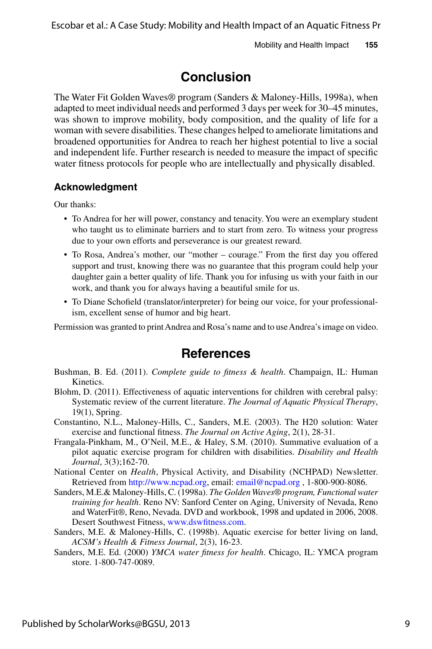## **Conclusion**

The Water Fit Golden Waves® program (Sanders & Maloney-Hills, 1998a), when adapted to meet individual needs and performed 3 days per week for 30–45 minutes, was shown to improve mobility, body composition, and the quality of life for a woman with severe disabilities. These changes helped to ameliorate limitations and broadened opportunities for Andrea to reach her highest potential to live a social and independent life. Further research is needed to measure the impact of specific water fitness protocols for people who are intellectually and physically disabled.

#### **Acknowledgment**

Our thanks:

- To Andrea for her will power, constancy and tenacity. You were an exemplary student who taught us to eliminate barriers and to start from zero. To witness your progress due to your own efforts and perseverance is our greatest reward.
- To Rosa, Andrea's mother, our "mother courage." From the first day you offered support and trust, knowing there was no guarantee that this program could help your daughter gain a better quality of life. Thank you for infusing us with your faith in our work, and thank you for always having a beautiful smile for us.
- To Diane Schofield (translator/interpreter) for being our voice, for your professionalism, excellent sense of humor and big heart.

Permission was granted to print Andrea and Rosa's name and to use Andrea's image on video.

#### **References**

- Bushman, B. Ed. (2011). *Complete guide to fitness & health*. Champaign, IL: Human Kinetics.
- Blohm, D. (2011). Effectiveness of aquatic interventions for children with cerebral palsy: Systematic review of the current literature. *The Journal of Aquatic Physical Therapy*, 19(1), Spring.
- Constantino, N.L., Maloney-Hills, C., Sanders, M.E. (2003). The H20 solution: Water exercise and functional fitness. *The Journal on Active Aging*, 2(1), 28-31.
- Frangala-Pinkham, M., O'Neil, M.E., & Haley, S.M. (2010). Summative evaluation of a pilot aquatic exercise program for children with disabilities. *Disability and Health Journal*, 3(3);162-70.
- National Center on *Health*, Physical Activity, and Disability (NCHPAD) Newsletter. Retrieved from [http://www.ncpad.org,](http://www.ncpad.org) email: [email@ncpad.org](mailto:email@ncpad.org) , 1-800-900-8086.
- Sanders, M.E.& Maloney-Hills, C. (1998a). *The Golden Waves® program, Functional water training for health*. Reno NV: Sanford Center on Aging, University of Nevada, Reno and WaterFit*®*, Reno, Nevada. DVD and workbook, 1998 and updated in 2006, 2008. Desert Southwest Fitness, [www.dswfitness.com.](http://www.dswfitness.com)
- Sanders, M.E. & Maloney-Hills, C. (1998b). Aquatic exercise for better living on land, *ACSM's Health & Fitness Journal*, 2(3), 16-23.
- Sanders, M.E. Ed. (2000) *YMCA water fitness for health*. Chicago, IL: YMCA program store. 1-800-747-0089.